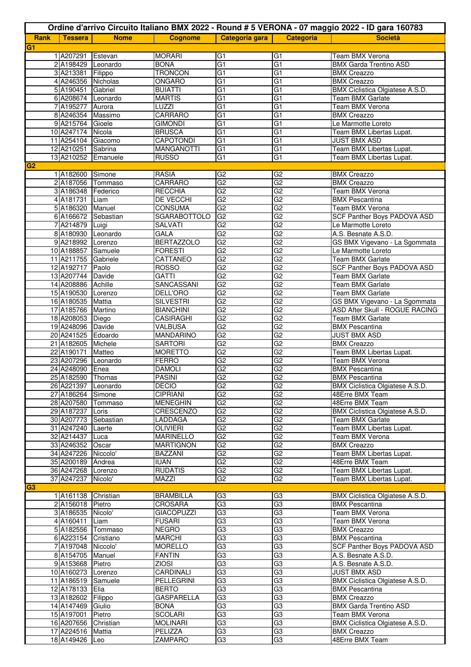|                | Ordine d'arrivo Circuito Italiano BMX 2022 - Round # 5 VERONA - 07 maggio 2022 - ID gara 160783 |                |                                      |                                    |                                   |                                                    |
|----------------|-------------------------------------------------------------------------------------------------|----------------|--------------------------------------|------------------------------------|-----------------------------------|----------------------------------------------------|
| <b>Rank</b>    | <b>Tessera</b>                                                                                  | <b>Nome</b>    | <b>Cognome</b>                       | Categoria gara                     | <b>Categoria</b>                  | <b>Società</b>                                     |
| G <sub>1</sub> |                                                                                                 |                |                                      |                                    |                                   |                                                    |
|                | 1 A207291                                                                                       | Estevan        | <b>MORARI</b>                        | G <sub>1</sub>                     | G1                                | Team BMX Verona                                    |
|                | 2 A198429 Leonardo                                                                              |                | <b>BONA</b>                          | G <sub>1</sub>                     | G1                                | <b>BMX Garda Trentino ASD</b>                      |
|                | 3 A213381                                                                                       | Filippo        | <b>TRONCON</b>                       | $\overline{G1}$                    | G <sub>1</sub>                    | <b>BMX Creazzo</b>                                 |
|                | 4 A246356 Nicholas                                                                              |                | ONGARO                               | G <sub>1</sub>                     | G <sub>1</sub>                    | <b>BMX Creazzo</b>                                 |
|                | 5 A190451 Gabriel                                                                               |                | <b>BUIATTI</b>                       | $\overline{G1}$                    | $\overline{G1}$                   | BMX Ciclistica Olgiatese A.S.D.                    |
|                | 6 A208674 Leonardo                                                                              |                | <b>MARTIS</b>                        | $\overline{G1}$<br>$\overline{G1}$ | G <sub>1</sub><br>$\overline{G1}$ | Team BMX Garlate                                   |
|                | 7 A195277 Aurora<br>8 A246354 Massimo                                                           |                | LUZZI<br><b>CARRARO</b>              | G <sub>1</sub>                     | G <sub>1</sub>                    | Team BMX Verona<br><b>BMX Creazzo</b>              |
|                | 9 A215764 Gioele                                                                                |                | <b>GIMONDI</b>                       | G <sub>1</sub>                     | G <sub>1</sub>                    | Le Marmotte Loreto                                 |
|                | 10 A247174 Nicola                                                                               |                | <b>BRUSCA</b>                        | G <sub>1</sub>                     | G1                                | Team BMX Libertas Lupat.                           |
|                | 11 A254104 Giacomo                                                                              |                | <b>CAPOTONDI</b>                     | $\overline{G1}$                    | $\overline{G1}$                   | <b>JUST BMX ASD</b>                                |
|                | 12 A210251 Sabrina                                                                              |                | <b>MANGANOTTI</b>                    | G1                                 | G1                                | Team BMX Libertas Lupat.                           |
|                | 13 A210252 Emanuele                                                                             |                | <b>RUSSO</b>                         | G <sub>1</sub>                     | G1                                | Team BMX Libertas Lupat.                           |
| G <sub>2</sub> |                                                                                                 |                |                                      |                                    |                                   |                                                    |
|                | 1 A182600 Simone                                                                                |                | <b>RASIA</b>                         | G <sub>2</sub>                     | G <sub>2</sub>                    | <b>BMX Creazzo</b>                                 |
|                | 2 A187056 Tommaso                                                                               |                | <b>CARRARO</b>                       | G2                                 | G <sub>2</sub>                    | <b>BMX Creazzo</b>                                 |
|                | 3 A186348 Federico                                                                              |                | <b>RECCHIA</b>                       | G2                                 | G2                                | Team BMX Verona                                    |
|                | 4A181731<br>5 A186320                                                                           | Liam<br>Manuel | <b>DE VECCHI</b><br><b>CONSUMA</b>   | G <sub>2</sub><br>G <sub>2</sub>   | G <sub>2</sub><br>G <sub>2</sub>  | <b>BMX Pescantina</b><br>Team BMX Verona           |
|                | 6 A166672 Sebastian                                                                             |                | <b>SGARABOTTOLO</b>                  | G2                                 | G2                                | SCF Panther Boys PADOVA ASD                        |
|                | 7 A214879 Luigi                                                                                 |                | <b>SALVATI</b>                       | G2                                 | $\overline{G2}$                   | Le Marmotte Loreto                                 |
|                | 8 A180930 Leonardo                                                                              |                | <b>GALA</b>                          | G2                                 | G <sub>2</sub>                    | A.S. Besnate A.S.D.                                |
|                | 9 A218992 Lorenzo                                                                               |                | <b>BERTAZZOLO</b>                    | G2                                 | $\overline{G2}$                   | GS BMX Vigevano - La Sgommata                      |
|                | 10 A188857 Samuele                                                                              |                | <b>FORESTI</b>                       | G <sub>2</sub>                     | G <sub>2</sub>                    | Le Marmotte Loreto                                 |
|                | 11 A211755                                                                                      | Gabriele       | CATTANEO                             | G2                                 | $\overline{G2}$                   | Team BMX Garlate                                   |
|                | 12 A192717 Paolo                                                                                |                | <b>ROSSO</b>                         | G <sub>2</sub>                     | G <sub>2</sub>                    | SCF Panther Boys PADOVA ASD                        |
|                | 13 A207744 Davide                                                                               |                | <b>GATTI</b>                         | G <sub>2</sub>                     | G <sub>2</sub>                    | Team BMX Garlate                                   |
|                | 14 A208886 Achille                                                                              |                | SANCASSANI                           | G <sub>2</sub>                     | G <sub>2</sub>                    | Team BMX Garlate                                   |
|                | 15 A190530 Lorenzo                                                                              |                | DELL'ORO                             | G2                                 | $\overline{G2}$                   | Team BMX Garlate                                   |
|                | 16 A180535 Mattia<br>17 A185766 Martino                                                         |                | <b>SILVESTRI</b>                     | G2<br>G2                           | G <sub>2</sub><br>G2              | GS BMX Vigevano - La Sgommata                      |
|                | 18 A208053 Diego                                                                                |                | <b>BIANCHINI</b><br><b>CASIRAGHI</b> | G <sub>2</sub>                     | G <sub>2</sub>                    | ASD After Skull - ROGUE RACING<br>Team BMX Garlate |
|                | 19 A248096 Davide                                                                               |                | <b>VALBUSA</b>                       | G2                                 | G <sub>2</sub>                    | <b>BMX Pescantina</b>                              |
|                | 20 A241525 Edoardo                                                                              |                | <b>MANDARINO</b>                     | G2                                 | G2                                | <b>JUST BMX ASD</b>                                |
|                | 21 A182605 Michele                                                                              |                | <b>SARTORI</b>                       | G <sub>2</sub>                     | G <sub>2</sub>                    | <b>BMX Creazzo</b>                                 |
|                | 22 A190171                                                                                      | Matteo         | <b>MORETTO</b>                       | G <sub>2</sub>                     | G <sub>2</sub>                    | Team BMX Libertas Lupat.                           |
|                | 23 A207296 Leonardo                                                                             |                | <b>FERRO</b>                         | G <sub>2</sub>                     | G <sub>2</sub>                    | Team BMX Verona                                    |
|                | 24 A248090 Enea                                                                                 |                | <b>DAMOLI</b>                        | G2                                 | G <sub>2</sub>                    | <b>BMX Pescantina</b>                              |
|                | 25 A182590 Thomas                                                                               |                | <b>PASINI</b>                        | G <sub>2</sub>                     | G <sub>2</sub>                    | <b>BMX Pescantina</b>                              |
|                | 26 A221397 Leonardo                                                                             |                | <b>DECIO</b>                         | G2                                 | G2                                | BMX Ciclistica Olgiatese A.S.D.                    |
|                | 27 A186264 Simone                                                                               |                | <b>CIPRIANI</b>                      | G <sub>2</sub>                     | G <sub>2</sub>                    | 48Erre BMX Team                                    |
|                | 28 A207580 Tommaso<br>29 A187237 Loris                                                          |                | <b>MENEGHIN</b><br><b>CRESCENZO</b>  | G <sub>2</sub><br>G2               | G2<br>G2                          | 48Erre BMX Team<br>BMX Ciclistica Olgiatese A.S.D. |
|                | 30 A207773 Sebastian                                                                            |                | LADDAGA                              | G <sub>2</sub>                     | G <sub>2</sub>                    | <b>Team BMX Garlate</b>                            |
|                | 31 A247240 Laerte                                                                               |                | <b>OLIVIERI</b>                      | G <sub>2</sub>                     | G <sub>2</sub>                    | Team BMX Libertas Lupat.                           |
|                | 32 A214437 Luca                                                                                 |                | <b>MARINELLO</b>                     | G <sub>2</sub>                     | G2                                | Team BMX Verona                                    |
|                | 33 A246352 Oscar                                                                                |                | <b>MARTIGNON</b>                     | G2                                 | G <sub>2</sub>                    | <b>BMX Creazzo</b>                                 |
|                | 34 A247226 Niccolo'                                                                             |                | <b>BAZZANI</b>                       | G2                                 | G2                                | Team BMX Libertas Lupat.                           |
|                | 35 A200189 Andrea                                                                               |                | <b>IUAN</b>                          | G <sub>2</sub>                     | G <sub>2</sub>                    | 48Erre BMX Team                                    |
|                | 36 A247268 Lorenzo                                                                              |                | <b>RUDATIS</b>                       | G <sub>2</sub>                     | G <sub>2</sub>                    | Team BMX Libertas Lupat.                           |
|                | 37 A247237 Nicolo'                                                                              |                | MAZZI                                | G2                                 | G2                                | Team BMX Libertas Lupat.                           |
| G <sub>3</sub> |                                                                                                 |                |                                      |                                    |                                   |                                                    |
|                | 1 A161138 Christian                                                                             |                | <b>BRAMBILLA</b>                     | G <sub>3</sub>                     | G <sub>3</sub>                    | BMX Ciclistica Olgiatese A.S.D.                    |
|                | 2 A156018 Pietro<br>3 A186535 Nicolo'                                                           |                | <b>CROSARA</b><br><b>GIACOPUZZI</b>  | G <sub>3</sub><br>G3               | G <sub>3</sub><br>G3              | <b>BMX Pescantina</b><br>Team BMX Verona           |
|                | 4 A160411 Liam                                                                                  |                | <b>FUSARI</b>                        | G <sub>3</sub>                     | G3                                | Team BMX Verona                                    |
|                | 5 A182556 Tommaso                                                                               |                | <b>NEGRO</b>                         | G <sub>3</sub>                     | G3                                | <b>BMX Creazzo</b>                                 |
|                | 6 A223154 Cristiano                                                                             |                | <b>MARCHI</b>                        | G3                                 | G3                                | <b>BMX Pescantina</b>                              |
|                | 7 A197048 Niccolo'                                                                              |                | <b>MORELLO</b>                       | G <sub>3</sub>                     | G3                                | SCF Panther Boys PADOVA ASD                        |
|                | 8 A154705 Manuel                                                                                |                | <b>FANTIN</b>                        | G <sub>3</sub>                     | G <sub>3</sub>                    | A.S. Besnate A.S.D.                                |
|                | 9 A153668 Pietro                                                                                |                | ZIOSI                                | G3                                 | G3                                | A.S. Besnate A.S.D.                                |
|                | 10 A160273 Lorenzo                                                                              |                | CARDINALI                            | G3                                 | G3                                | <b>JUST BMX ASD</b>                                |
|                | 11 A186519 Samuele                                                                              |                | <b>PELLEGRINI</b>                    | G3                                 | G3                                | BMX Ciclistica Olgiatese A.S.D.                    |
|                | 12 A178133 Elia                                                                                 |                | <b>BERTO</b>                         | G3                                 | $\overline{G3}$                   | <b>BMX</b> Pescantina                              |
|                | 13 A182602 Filippo                                                                              |                | <b>GASPARELLA</b>                    | G3                                 | G3                                | <b>BMX Creazzo</b>                                 |
|                | 14 A147469 Giulio                                                                               |                | <b>BONA</b>                          | $\overline{G3}$                    | $\overline{G3}$                   | <b>BMX Garda Trentino ASD</b>                      |
|                | 15 A197001 Pietro<br>16 A207656 Christian                                                       |                | <b>SCOLARI</b><br><b>MOLINARI</b>    | G <sub>3</sub><br>G <sub>3</sub>   | G <sub>3</sub><br>G3              | Team BMX Verona<br>BMX Ciclistica Olgiatese A.S.D. |
|                | 17 A224516 Mattia                                                                               |                | PELIZZA                              | G3                                 | G3                                | <b>BMX Creazzo</b>                                 |
|                | 18 A149426 Leo                                                                                  |                | ZAMPARO                              | G3                                 | G3                                | 48Erre BMX Team                                    |
|                |                                                                                                 |                |                                      |                                    |                                   |                                                    |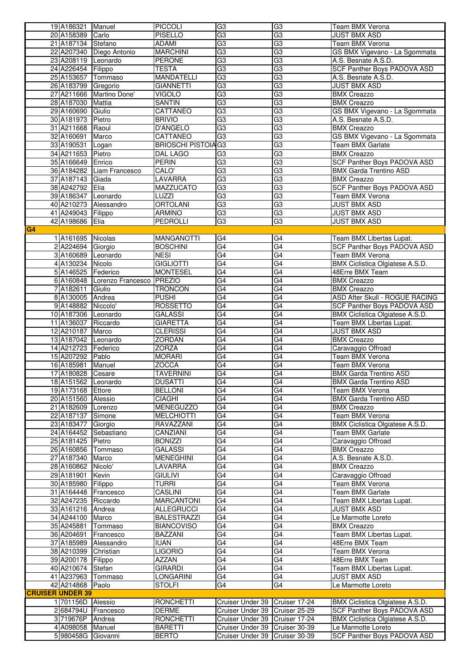|                         | 19 A186321             | Manuel                      | <b>PICCOLI</b>                     | G3                                                               | G3              | Team BMX Verona                                          |
|-------------------------|------------------------|-----------------------------|------------------------------------|------------------------------------------------------------------|-----------------|----------------------------------------------------------|
|                         | 20 A158389             | Carlo                       | <b>PISELLO</b>                     | G3                                                               | G3              | <b>JUST BMX ASD</b>                                      |
|                         | 21 A187134 Stefano     |                             | ADAMI                              | G <sub>3</sub>                                                   | G3              | Team BMX Verona                                          |
|                         |                        | 22 A207340 Diego Antonio    | <b>MARCHINI</b>                    | G3                                                               | $\overline{G3}$ | GS BMX Vigevano - La Sgommata                            |
|                         | 23 A208119 Leonardo    |                             | <b>PERONE</b>                      | G3                                                               | G3              | A.S. Besnate A.S.D.                                      |
|                         | 24 A226454 Filippo     |                             | <b>TESTA</b>                       | G3                                                               | $\overline{G3}$ | <b>SCF Panther Boys PADOVA ASD</b>                       |
|                         | 25 A153657             | Tommaso                     | <b>MANDATELLI</b>                  | G <sub>3</sub>                                                   | G3              | A.S. Besnate A.S.D.                                      |
|                         | 26 A183799             | Gregorio                    | <b>GIANNETTI</b>                   | $\overline{G}3$                                                  | G3              | <b>JUST BMX ASD</b>                                      |
|                         | 27 A211666             | Martino Done'               | <b>VIGOLO</b>                      | G <sub>3</sub>                                                   | G3              | <b>BMX Creazzo</b>                                       |
|                         | 28 A187030             | Mattia                      | <b>SANTIN</b>                      | G3                                                               | $\overline{G3}$ | <b>BMX Creazzo</b>                                       |
|                         | 29 A160690             | Giulio                      | CATTANEO                           | G <sub>3</sub>                                                   | G3              | GS BMX Vigevano - La Sgommata                            |
|                         | 30 A181973             | Pietro                      | <b>BRIVIO</b>                      | G3                                                               | G3              | A.S. Besnate A.S.D.                                      |
|                         | 31 A211668             |                             | <b>D'ANGELO</b>                    | G3                                                               | G3              | <b>BMX Creazzo</b>                                       |
|                         |                        | Raoul                       |                                    |                                                                  |                 |                                                          |
|                         | 32 A160691             | Marco                       | CATTANEO                           | G3                                                               | $\overline{G3}$ | GS BMX Vigevano - La Sgommata                            |
|                         | 33 A190531             | Logan                       | <b>BRIOSCHI PISTOIA G3</b>         |                                                                  | G3              | Team BMX Garlate                                         |
|                         | 34 A211653             | Pietro                      | DAL LAGO                           | G <sub>3</sub>                                                   | G3              | <b>BMX Creazzo</b>                                       |
|                         | 35 A166649             | Enrico                      | <b>PERIN</b>                       | G3                                                               | G3              | <b>SCF Panther Boys PADOVA ASD</b>                       |
|                         |                        | 36 A184282 Liam Francesco   | CALO'                              | G3                                                               | $\overline{G}3$ | <b>BMX Garda Trentino ASD</b>                            |
|                         | 37 A187143             | Giada                       | <b>LAVARRA</b>                     | G <sub>3</sub>                                                   | G3              | <b>BMX Creazzo</b>                                       |
|                         | 38 A242792             | Elia                        | <b>MAZZUCATO</b>                   | $\overline{G}3$                                                  | G3              | <b>SCF Panther Boys PADOVA ASD</b>                       |
|                         | 39 A186347             | Leonardo                    | LUZZI                              | G3                                                               | G3              | <b>Team BMX Verona</b>                                   |
|                         | 40 A210273             | Alessandro                  | <b>ORTOLANI</b>                    | G3                                                               | G3              | <b>JUST BMX ASD</b>                                      |
|                         | 41 A249043 Filippo     |                             | <b>ARMINO</b>                      | G3                                                               | G3              | <b>JUST BMX ASD</b>                                      |
|                         | 42 A198686             | Elia                        | PEDROLLI                           | $\overline{G3}$                                                  | $\overline{G3}$ | <b>JUST BMX ASD</b>                                      |
| G <sub>4</sub>          |                        |                             |                                    |                                                                  |                 |                                                          |
|                         | 1 A161695              | Nicolas                     | <b>MANGANOTTI</b>                  | G4                                                               | G4              | Team BMX Libertas Lupat.                                 |
|                         |                        |                             |                                    | G4                                                               | G4              |                                                          |
|                         | 2 A224694 Giorgio      |                             | <b>BOSCHINI</b>                    |                                                                  |                 | <b>SCF Panther Boys PADOVA ASD</b>                       |
|                         | 3 A160689 Leonardo     |                             | <b>NESI</b>                        | G4                                                               | $\overline{G4}$ | <b>Team BMX Verona</b>                                   |
|                         | 4 A130234              | Nicolo                      | <b>GIGLIOTTI</b>                   | G4                                                               | G4              | BMX Ciclistica Olgiatese A.S.D.                          |
|                         | 5 A146525              | Federico                    | <b>MONTESEL</b>                    | G4                                                               | G4              | 48Erre BMX Team                                          |
|                         |                        | 6 A160848 Lorenzo Francesco | PREZIO                             | G4                                                               | $\overline{G4}$ | <b>BMX Creazzo</b>                                       |
|                         | 7A182611               | Giulio                      | <b>TRONCON</b>                     | G4                                                               | G4              | <b>BMX Creazzo</b>                                       |
|                         | 8 A130005              | Andrea                      | <b>PUSHI</b>                       | G4                                                               | G4              | <b>ASD After Skull - ROGUE RACING</b>                    |
|                         | 9 A148882              | Niccolo <sup>'</sup>        | <b>ROSSETTO</b>                    | G4                                                               | G4              | <b>SCF Panther Boys PADOVA ASD</b>                       |
|                         | 10 A187306 Leonardo    |                             | <b>GALASSI</b>                     | G4                                                               | $\overline{G4}$ | BMX Ciclistica Olgiatese A.S.D.                          |
|                         | 11 A136037             | Riccardo                    | <b>GIARETTA</b>                    | G4                                                               | G4              | Team BMX Libertas Lupat.                                 |
|                         | 12 A210187             | Marco                       | <b>CLERISSI</b>                    | G4                                                               | G4              | <b>JUST BMX ASD</b>                                      |
|                         | 13 A187042 Leonardo    |                             | <b>ZORDAN</b>                      | G4                                                               | G4              | <b>BMX Creazzo</b>                                       |
|                         | 14 A212723             | Federico                    | <b>ZORZA</b>                       | $\overline{G4}$                                                  | $\overline{G4}$ | Caravaggio Offroad                                       |
|                         | 15 A207292             | Pablo                       | <b>MORARI</b>                      | G4                                                               | G4              | <b>Team BMX Verona</b>                                   |
|                         |                        | Manuel                      |                                    | $\overline{G4}$                                                  | G4              | <b>Team BMX Verona</b>                                   |
|                         | 16 A185981             |                             | ZOCCA                              |                                                                  |                 |                                                          |
|                         | 17 A180828             | Cesare                      | <b>TAVERNINI</b>                   | $\overline{G4}$                                                  | $\overline{G4}$ | <b>BMX Garda Trentino ASD</b>                            |
|                         | 18 A151562 Leonardo    |                             | <b>DUSATTI</b>                     | G4                                                               | G4              | <b>BMX Garda Trentino ASD</b>                            |
|                         | 19 A173168 Ettore      |                             | <b>BELLONI</b>                     | G <sub>4</sub>                                                   | G4              | Team BMX Verona                                          |
|                         | 20 A151560             | Alessio                     | <b>CIAGHI</b>                      | G4                                                               | G4              | <b>BMX Garda Trentino ASD</b>                            |
|                         | 21 A182609             | Lorenzo                     | <b>MENEGUZZO</b>                   | G4                                                               | G4              | <b>BMX Creazzo</b>                                       |
|                         | 22 A187137             | Simone                      | <b>MELCHIOTTI</b>                  | G4                                                               | G4              | Team BMX Verona                                          |
|                         | 23 A183477             | Giorgio                     | RAVAZZANI                          | G4                                                               | G4              | BMX Ciclistica Olgiatese A.S.D.                          |
|                         | 24 A164452             | Sebastiano                  | CANZIANI                           | $\overline{G4}$                                                  | $\overline{G4}$ | Team BMX Garlate                                         |
|                         | 25 A181425             | Pietro                      | <b>BONIZZI</b>                     | G4                                                               | G4              | Caravaggio Offroad                                       |
|                         | 26 A160856             | Tommaso                     | <b>GALASSI</b>                     | $\overline{G4}$                                                  | $\overline{G4}$ | <b>BMX Creazzo</b>                                       |
|                         | 27 A187340             | Marco                       | <b>MENEGHINI</b>                   | G4                                                               | G4              | A.S. Besnate A.S.D.                                      |
|                         | 28 A160862             | Nicolo'                     | LAVARRA                            | G4                                                               | G4              | <b>BMX Creazzo</b>                                       |
|                         | 29 A181901             | Kevin                       | <b>GIULIVI</b>                     | G4                                                               | G4              | Caravaggio Offroad                                       |
|                         |                        |                             |                                    |                                                                  |                 |                                                          |
|                         |                        |                             |                                    |                                                                  |                 |                                                          |
|                         | 30 A185980             | Filippo                     | <b>TURRI</b>                       | G4                                                               | G4              | Team BMX Verona                                          |
|                         | 31 A164448             | Francesco                   | <b>CASLINI</b>                     | G4                                                               | G4              | <b>Team BMX Garlate</b>                                  |
|                         | 32 A247235             | Riccardo                    | <b>MARCANTONI</b>                  | $\overline{G4}$                                                  | G4              | Team BMX Libertas Lupat.                                 |
|                         | 33 A161216             | Andrea                      | <b>ALLEGRUCCI</b>                  | G4                                                               | G4              | JUST BMX ASD                                             |
|                         | 34 A244100             | Marco                       | <b>BALESTRAZZI</b>                 | G4                                                               | $\overline{G4}$ | Le Marmotte Loreto                                       |
|                         | 35 A245881             | Tommaso                     | <b>BIANCOVISO</b>                  | G <sub>4</sub>                                                   | G4              | <b>BMX Creazzo</b>                                       |
|                         | 36 A204691             | Francesco                   | <b>BAZZANI</b>                     | $\overline{G4}$                                                  | $\overline{G4}$ | Team BMX Libertas Lupat.                                 |
|                         | 37 A185989             | Alessandro                  | <b>IUAN</b>                        | G4                                                               | G4              | 48Erre BMX Team                                          |
|                         | 38 A210399             | Christian                   | <b>LIGORIO</b>                     | $\overline{G4}$                                                  | $\overline{G4}$ | Team BMX Verona                                          |
|                         | 39 A200178             | Filippo                     | AZZAN                              | G4                                                               | G4              | 48Erre BMX Team                                          |
|                         |                        | Stefan                      |                                    |                                                                  |                 |                                                          |
|                         | 40 A210674             |                             | <b>GIRARDI</b><br><b>LONGARINI</b> | $\overline{G4}$                                                  | G4              | Team BMX Libertas Lupat.<br>JUST BMX ASD                 |
|                         | 41 A237963             | Tommaso                     |                                    | G4                                                               | G4              |                                                          |
|                         | 42 A214868 Paolo       |                             | <b>STOLFI</b>                      | G4                                                               | $\overline{G4}$ | Le Marmotte Loreto                                       |
| <b>CRUISER UNDER 39</b> |                        |                             |                                    |                                                                  |                 |                                                          |
|                         | 1 701156D Alessio      |                             | <b>RONCHETTI</b>                   | Cruiser Under 39 Cruiser 17-24                                   |                 | BMX Ciclistica Olgiatese A.S.D.                          |
|                         | 2684794U               | Francesco                   | <b>DERME</b>                       | Cruiser Under 39 Cruiser 25-29                                   |                 | SCF Panther Boys PADOVA ASD                              |
|                         | 3 719676P              | Andrea                      | <b>RONCHETTI</b>                   | Cruiser Under 39 Cruiser 17-24                                   |                 | BMX Ciclistica Olgiatese A.S.D.                          |
|                         | 4 A098058<br>5 980458G | Manuel<br>Giovanni          | <b>BARETTI</b><br><b>BERTO</b>     | Cruiser Under 39 Cruiser 30-39<br>Cruiser Under 39 Cruiser 30-39 |                 | Le Marmotte Loreto<br><b>SCF Panther Boys PADOVA ASD</b> |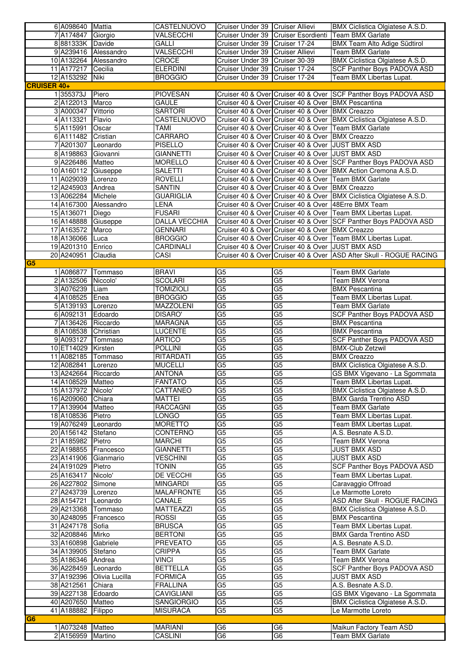|                    | 6 A098640 Mattia    |                      | CASTELNUOVO          | Cruiser Under 39 Cruiser Allievi |                                                     | BMX Ciclistica Olgiatese A.S.D.                                     |
|--------------------|---------------------|----------------------|----------------------|----------------------------------|-----------------------------------------------------|---------------------------------------------------------------------|
|                    | 7A174847            | Giorgio              | VALSECCHI            |                                  |                                                     | Cruiser Under 39 Cruiser Esordienti Team BMX Garlate                |
|                    | 8 881333K Davide    |                      | <b>GALLI</b>         | Cruiser Under 39 Cruiser 17-24   |                                                     | <b>BMX Team Alto Adige Südtirol</b>                                 |
|                    |                     | 9 A239416 Alessandro | VALSECCHI            | Cruiser Under 39 Cruiser Allievi |                                                     | <b>Team BMX Garlate</b>                                             |
|                    | 10 A132264          | Alessandro           | CROCE                | Cruiser Under 39 Cruiser 30-39   |                                                     | BMX Ciclistica Olgiatese A.S.D.                                     |
|                    | 11 A177217          | Cecilia              | <b>ELERDINI</b>      | Cruiser Under 39 Cruiser 17-24   |                                                     | SCF Panther Boys PADOVA ASD                                         |
|                    | 12 A153292 Niki     |                      | <b>BROGGIO</b>       | Cruiser Under 39 Cruiser 17-24   |                                                     | Team BMX Libertas Lupat.                                            |
| <b>CRUISER 40+</b> |                     |                      |                      |                                  |                                                     |                                                                     |
|                    | 1355373J            | Piero                | <b>PIOVESAN</b>      |                                  |                                                     | Cruiser 40 & Over Cruiser 40 & Over SCF Panther Boys PADOVA ASD     |
|                    | 2 A122013           | Marco                | <b>GAULE</b>         |                                  | Cruiser 40 & Over Cruiser 40 & Over BMX Pescantina  |                                                                     |
|                    | 3 A000347           | Vittorio             | <b>SARTORI</b>       |                                  | Cruiser 40 & Over Cruiser 40 & Over BMX Creazzo     |                                                                     |
|                    | 4 A113321           | Flavio               | CASTELNUOVO          |                                  |                                                     | Cruiser 40 & Over Cruiser 40 & Over BMX Ciclistica Olgiatese A.S.D. |
|                    | 5 A115991           | Oscar                | TAMI                 |                                  |                                                     | Cruiser 40 & Over Cruiser 40 & Over Team BMX Garlate                |
|                    | 6A111482            | Cristian             | CARRARO              |                                  | Cruiser 40 & Over Cruiser 40 & Over BMX Creazzo     |                                                                     |
|                    | 7A201307            | Leonardo             | <b>PISELLO</b>       |                                  | Cruiser 40 & Over Cruiser 40 & Over JUST BMX ASD    |                                                                     |
|                    | 8 A198863           | Giovanni             | <b>GIANNETTI</b>     |                                  | Cruiser 40 & Over Cruiser 40 & Over JUST BMX ASD    |                                                                     |
|                    | 9 A226486 Matteo    |                      | <b>MORELLO</b>       |                                  |                                                     | Cruiser 40 & Over Cruiser 40 & Over SCF Panther Boys PADOVA ASD     |
|                    | 10 A160112          | Giuseppe             | <b>SALETTI</b>       |                                  |                                                     | Cruiser 40 & Over Cruiser 40 & Over   BMX Action Cremona A.S.D.     |
|                    | 11 A029039          | Lorenzo              | <b>ROVELLI</b>       |                                  |                                                     | Cruiser 40 & Over Cruiser 40 & Over Team BMX Garlate                |
|                    | 12 A245903          | Andrea               | <b>SANTIN</b>        |                                  | Cruiser 40 & Over Cruiser 40 & Over BMX Creazzo     |                                                                     |
|                    | 13 A062284          | Michele              | <b>GUARIGLIA</b>     |                                  |                                                     | Cruiser 40 & Over Cruiser 40 & Over BMX Ciclistica Olgiatese A.S.D. |
|                    | 14 A167300          | Alessandro           | <b>LENA</b>          |                                  | Cruiser 40 & Over Cruiser 40 & Over 48Erre BMX Team |                                                                     |
|                    | 15 A136071          | Diego                | <b>FUSARI</b>        |                                  |                                                     | Cruiser 40 & Over Cruiser 40 & Over Team BMX Libertas Lupat.        |
|                    | 16 A148888          | Giuseppe             | <b>DALLA VECCHIA</b> |                                  |                                                     | Cruiser 40 & Over Cruiser 40 & Over SCF Panther Boys PADOVA ASD     |
|                    | 17 A163572          | Marco                | <b>GENNARI</b>       |                                  | Cruiser 40 & Over Cruiser 40 & Over BMX Creazzo     |                                                                     |
|                    | 18 A136066          | Luca                 | <b>BROGGIO</b>       |                                  |                                                     | Cruiser 40 & Over Cruiser 40 & Over Team BMX Libertas Lupat.        |
|                    | 19 A201310          | Enrico               | CARDINALI            |                                  | Cruiser 40 & Over Cruiser 40 & Over JUST BMX ASD    |                                                                     |
|                    | 20 A240951          | Claudia              | CASI                 |                                  |                                                     | Cruiser 40 & Over Cruiser 40 & Over ASD After Skull - ROGUE RACING  |
| G <sub>5</sub>     |                     |                      |                      |                                  |                                                     |                                                                     |
|                    | 1 A086877           | Tommaso              | <b>BRAVI</b>         | G5                               | G <sub>5</sub>                                      | Team BMX Garlate                                                    |
|                    | 2 A132506           | Niccolo <sup>'</sup> | <b>SCOLARI</b>       | G <sub>5</sub>                   | $\overline{G5}$                                     | Team BMX Verona                                                     |
|                    | 3 A076239           | Liam                 | <b>TOMIZIOLI</b>     | G <sub>5</sub>                   | G <sub>5</sub>                                      | <b>BMX Pescantina</b>                                               |
|                    | 4 A108525           | Enea                 | <b>BROGGIO</b>       | G <sub>5</sub>                   | G <sub>5</sub>                                      | Team BMX Libertas Lupat.                                            |
|                    | 5 A139193 Lorenzo   |                      | <b>MAZZOLENI</b>     | G <sub>5</sub>                   | G <sub>5</sub>                                      | Team BMX Garlate                                                    |
|                    | 6 A092131           | Edoardo              | DISARO'              | G <sub>5</sub>                   | $\overline{G5}$                                     | <b>SCF Panther Boys PADOVA ASD</b>                                  |
|                    | 7A136426            | Riccardo             | <b>MARAGNA</b>       | G <sub>5</sub>                   | G <sub>5</sub>                                      | <b>BMX Pescantina</b>                                               |
|                    | 8 A108538           | Christian            | LUCENTE              | $\overline{G5}$                  | $\overline{G5}$                                     | <b>BMX Pescantina</b>                                               |
|                    | 9 A093127           | Tommaso              | <b>ARTICO</b>        | G <sub>5</sub>                   | G <sub>5</sub>                                      | SCF Panther Boys PADOVA ASD                                         |
|                    | 10 ET14029          | Kirsten              | <b>POLLINI</b>       | $\overline{G5}$                  | $\overline{G5}$                                     | <b>BMX-Club Zetzwil</b>                                             |
|                    | 11 A082185 Tommaso  |                      | RITARDATI            | G <sub>5</sub>                   | G5                                                  | <b>BMX Creazzo</b>                                                  |
|                    | 12 A082841          | Lorenzo              | <b>MUCELLI</b>       | G <sub>5</sub>                   | $\overline{G5}$                                     | BMX Ciclistica Olgiatese A.S.D.                                     |
|                    | 13 A242664 Riccardo |                      | <b>ANTONA</b>        | G <sub>5</sub>                   | $\overline{G5}$                                     | GS BMX Vigevano - La Sgommata                                       |
|                    | 14 A108529 Matteo   |                      | <b>FANTATO</b>       | G <sub>5</sub>                   | G <sub>5</sub>                                      | Team BMX Libertas Lupat.                                            |
|                    | 15 A137972 Nicolo'  |                      | CATTANEO             | G5                               | G5                                                  | BMX Ciclistica Olgiatese A.S.D.                                     |
|                    | 16 A209060          | Chiara               | <b>MATTEI</b>        | $\overline{G5}$                  | G <sub>5</sub>                                      | <b>BMX Garda Trentino ASD</b>                                       |
|                    | 17 A139904          | Matteo               | <b>RACCAGNI</b>      | G5                               | G5                                                  | Team BMX Garlate                                                    |
|                    | 18 A108536          | Pietro               | LONGO                | G5                               | $\overline{G5}$                                     | Team BMX Libertas Lupat.                                            |
|                    | 19 A076249          | Leonardo             | <b>MORETTO</b>       | G <sub>5</sub>                   | G5                                                  | Team BMX Libertas Lupat.                                            |
|                    | 20 A156142 Stefano  |                      | <b>CONTERNO</b>      | G5                               | $\overline{G5}$                                     | A.S. Besnate A.S.D.                                                 |
|                    | 21 A185982          | Pietro               | <b>MARCHI</b>        | G <sub>5</sub>                   | G5                                                  | Team BMX Verona                                                     |
|                    | 22 A198855          | Francesco            | <b>GIANNETTI</b>     | $\overline{G5}$                  | $\overline{G5}$                                     | <b>JUST BMX ASD</b>                                                 |
|                    | 23 A141906          | Gianmario            | <b>VESCHINI</b>      | G <sub>5</sub>                   | $\overline{G5}$                                     | <b>JUST BMX ASD</b>                                                 |
|                    | 24 A191029          | Pietro               | <b>TONIN</b>         | $\overline{G5}$                  | G <sub>5</sub>                                      | SCF Panther Boys PADOVA ASD                                         |
|                    | 25 A163417          | Nicolo'              | <b>DE VECCHI</b>     | G <sub>5</sub>                   | G5                                                  | Team BMX Libertas Lupat.                                            |
|                    | 26 A227802          | Simone               | <b>MINGARDI</b>      | G5                               | $\overline{G5}$                                     | Caravaggio Offroad                                                  |
|                    | 27 A243739          | Lorenzo              | <b>MALAFRONTE</b>    | G <sub>5</sub>                   | G <sub>5</sub>                                      | Le Marmotte Loreto                                                  |
|                    | 28 A154721          | Leonardo             | CANALE               | G <sub>5</sub>                   | $\overline{G5}$                                     | ASD After Skull - ROGUE RACING                                      |
|                    | 29 A213368          | Tommaso              | <b>MATTEAZZI</b>     | G <sub>5</sub>                   | G5                                                  | BMX Ciclistica Olgiatese A.S.D.                                     |
|                    | 30 A248095          | Francesco            | <b>ROSSI</b>         | G <sub>5</sub>                   | $\overline{G5}$                                     | <b>BMX Pescantina</b>                                               |
|                    | 31 A247178          | Sofia                | <b>BRUSCA</b>        | G5                               | G <sub>5</sub>                                      | Team BMX Libertas Lupat.                                            |
|                    | 32 A208846          | Mirko                | <b>BERTONI</b>       | G <sub>5</sub>                   | $\overline{G5}$                                     | <b>BMX Garda Trentino ASD</b>                                       |
|                    | 33 A160898          | Gabriele             | <b>PREVEATO</b>      | G <sub>5</sub>                   | G <sub>5</sub>                                      | A.S. Besnate A.S.D.                                                 |
|                    | 34 A139905          | Stefano              | <b>CRIPPA</b>        | G5                               | G5                                                  | Team BMX Garlate                                                    |
|                    | 35 A186346          | Andrea               | <b>VINCI</b>         | G <sub>5</sub>                   | G <sub>5</sub>                                      | Team BMX Verona                                                     |
|                    | 36 A228459          | Leonardo             | <b>BETTELLA</b>      | G <sub>5</sub>                   | $\overline{G5}$                                     | SCF Panther Boys PADOVA ASD                                         |
|                    | 37 A192396          | Olivia Lucilla       | <b>FORMICA</b>       | G <sub>5</sub>                   | $\overline{G5}$                                     | <b>JUST BMX ASD</b>                                                 |
|                    | 38 A212561          | Chiara               | <b>FRALLINA</b>      | G5                               | $\overline{G5}$                                     | A.S. Besnate A.S.D.                                                 |
|                    | 39 A227138          | Edoardo              | <b>CAVIGLIANI</b>    | G <sub>5</sub>                   | G5                                                  | GS BMX Vigevano - La Sgommata                                       |
|                    | 40 A207650          | Matteo               | <b>SANGIORGIO</b>    | $\overline{G5}$                  | $\overline{G5}$                                     | BMX Ciclistica Olgiatese A.S.D.                                     |
|                    | 41 A188882          | Filippo              | <b>MISURACA</b>      | G <sub>5</sub>                   | G5                                                  | Le Marmotte Loreto                                                  |
| G <sub>6</sub>     |                     |                      |                      |                                  |                                                     |                                                                     |
|                    | 1 A073248 Matteo    |                      | <b>MARIANI</b>       | G <sub>6</sub>                   | G6                                                  | Maikun Factory Team ASD                                             |
|                    | 2 A156959 Martino   |                      | <b>CASLINI</b>       | G <sub>6</sub>                   | $\overline{G6}$                                     | Team BMX Garlate                                                    |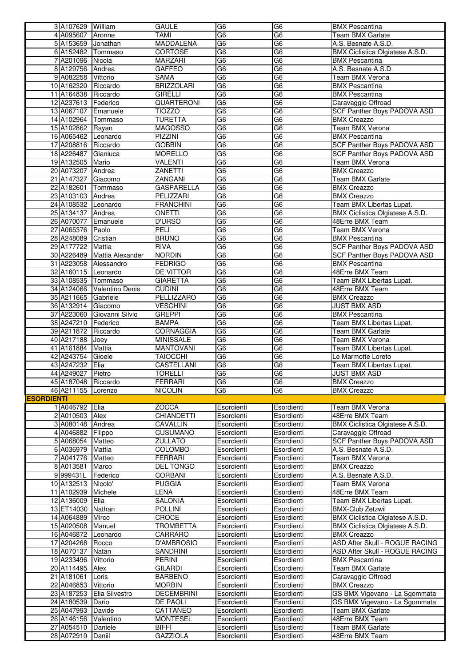|                   | 3 A107629 William   |                             | <b>GAULE</b>      | G6              | G <sub>6</sub>                      | <b>BMX Pescantina</b>              |
|-------------------|---------------------|-----------------------------|-------------------|-----------------|-------------------------------------|------------------------------------|
|                   | 4 A095607 Aronne    |                             | <b>TAMI</b>       | $\overline{G6}$ | G <sub>6</sub>                      | <b>Team BMX Garlate</b>            |
|                   | 5 A153659 Jonathan  |                             | <b>MADDALENA</b>  | G <sub>6</sub>  | $\overline{G6}$                     | A.S. Besnate A.S.D.                |
|                   | 6 A152482 Tommaso   |                             | CORTOSE           | G <sub>6</sub>  | $\overline{G6}$                     | BMX Ciclistica Olgiatese A.S.D.    |
|                   | 7 A201096 Nicola    |                             | <b>MARZARI</b>    | G <sub>6</sub>  | G <sub>6</sub>                      | <b>BMX Pescantina</b>              |
|                   | 8 A129756           | Andrea                      | <b>GAFFEO</b>     | $\overline{G6}$ | $\overline{G6}$                     | A.S. Besnate A.S.D.                |
|                   | 9 A082258           | Vittorio                    | <b>SAMA</b>       | G6              | G <sub>6</sub>                      | Team BMX Verona                    |
|                   | 10 A162320          | Riccardo                    | <b>BRIZZOLARI</b> | $\overline{G6}$ | G <sub>6</sub>                      | <b>BMX Pescantina</b>              |
|                   | 11 A164838 Riccardo |                             | <b>GIRELLI</b>    | G6              | G <sub>6</sub>                      | <b>BMX Pescantina</b>              |
|                   | 12 A237613 Federico |                             | QUARTERONI        | G <sub>6</sub>  | $\overline{\overline{\mathsf{G6}}}$ | Caravaggio Offroad                 |
|                   | 13 A067107 Emanuele |                             | <b>TIOZZO</b>     | G <sub>6</sub>  | G <sub>6</sub>                      | <b>SCF Panther Boys PADOVA ASD</b> |
|                   | 14 A102964 Tommaso  |                             | <b>TURETTA</b>    | G <sub>6</sub>  | $\overline{G6}$                     | <b>BMX Creazzo</b>                 |
|                   | 15 A102862 Rayan    |                             | <b>MAGOSSO</b>    | G <sub>6</sub>  | $\overline{G6}$                     | <b>Team BMX Verona</b>             |
|                   | 16 A065462 Leonardo |                             | PIZZINI           | $\overline{G6}$ | $\overline{G6}$                     | <b>BMX Pescantina</b>              |
|                   | 17 A208816 Riccardo |                             | <b>GOBBIN</b>     | G <sub>6</sub>  | G <sub>6</sub>                      | <b>SCF Panther Boys PADOVA ASD</b> |
|                   | 18 A226487          | Gianluca                    | <b>MORELLO</b>    | $\overline{G6}$ | G <sub>6</sub>                      | SCF Panther Boys PADOVA ASD        |
|                   | 19 A132505          | Mario                       | <b>VALENTI</b>    | G6              | G <sub>6</sub>                      | Team BMX Verona                    |
|                   | 20 A073207          | Andrea                      | ZANETTI           | $\overline{G6}$ | $\overline{G6}$                     | <b>BMX Creazzo</b>                 |
|                   | 21 A147327          | Giacomo                     | ZANGANI           | G <sub>6</sub>  | G <sub>6</sub>                      | <b>Team BMX Garlate</b>            |
|                   | 22 A182601          | Tommaso                     | <b>GASPARELLA</b> | G <sub>6</sub>  | $\overline{G6}$                     | <b>BMX Creazzo</b>                 |
|                   | 23 A103103 Andrea   |                             | PELIZZARI         | G <sub>6</sub>  | G <sub>6</sub>                      | <b>BMX Creazzo</b>                 |
|                   | 24 A108532 Leonardo |                             | <b>FRANCHINI</b>  | $\overline{G6}$ | $\overline{G6}$                     | Team BMX Libertas Lupat.           |
|                   | 25 A134137          | Andrea                      | ONETTI            | G6              | G <sub>6</sub>                      | BMX Ciclistica Olgiatese A.S.D.    |
|                   | 26 A070077          | Emanuele                    | <b>D'URSO</b>     | $\overline{G6}$ | G <sub>6</sub>                      | 48Erre BMX Team                    |
|                   | 27 A065376          | Paolo                       | PELI              | G6              | G <sub>6</sub>                      | <b>Team BMX Verona</b>             |
|                   | 28 A248089          | Cristian                    | <b>BRUNO</b>      | G6              | G <sub>6</sub>                      | <b>BMX Pescantina</b>              |
|                   | 29 A177722          | Mattia                      | <b>RIVA</b>       | G6              | $\overline{G6}$                     | SCF Panther Boys PADOVA ASD        |
|                   |                     | 30 A226489 Mattia Alexander | <b>NORDIN</b>     | G <sub>6</sub>  | G <sub>6</sub>                      | SCF Panther Boys PADOVA ASD        |
|                   |                     | 31 A223058 Alessandro       | <b>FEDRIGO</b>    | G <sub>6</sub>  | G <sub>6</sub>                      | <b>BMX Pescantina</b>              |
|                   | 32 A160115 Leonardo |                             | DE VITTOR         | G6              | G <sub>6</sub>                      | 48Erre BMX Team                    |
|                   | 33 A108535 Tommaso  |                             | <b>GIARETTA</b>   | $\overline{G6}$ | $\overline{G6}$                     | Team BMX Libertas Lupat.           |
|                   |                     | 34 A124066 Valentino Denis  | <b>CUDINI</b>     | G6              | G <sub>6</sub>                      | 48Erre BMX Team                    |
|                   | 35 A211665          | Gabriele                    | PELLIZZARO        | $\overline{G6}$ | G <sub>6</sub>                      | <b>BMX Creazzo</b>                 |
|                   | 36 A132914 Giacomo  |                             | <b>VESCHINI</b>   | G6              | G <sub>6</sub>                      | <b>JUST BMX ASD</b>                |
|                   | 37 A223060          | Giovanni Silvio             | <b>GREPPI</b>     | $\overline{G6}$ | $\overline{G6}$                     | <b>BMX Pescantina</b>              |
|                   | 38 A247210 Federico |                             | <b>BAMPA</b>      | G <sub>6</sub>  | G <sub>6</sub>                      | Team BMX Libertas Lupat.           |
|                   | 39 A211872          | Riccardo                    | <b>CORNAGGIA</b>  | $\overline{G6}$ | G <sub>6</sub>                      | Team BMX Garlate                   |
|                   | 40 A217188          | Joey                        | <b>MINISSALE</b>  | G <sub>6</sub>  | G <sub>6</sub>                      | <b>Team BMX Verona</b>             |
|                   | 41 A161884          | Mattia                      | <b>MANTOVANI</b>  | $\overline{G6}$ | $\overline{G6}$                     | Team BMX Libertas Lupat.           |
|                   | 42 A243754          | Gioele                      | <b>TAIOCCHI</b>   | G <sub>6</sub>  | G <sub>6</sub>                      | Le Marmotte Loreto                 |
|                   | 43 A247232          | Elia                        | CASTELLANI        | $\overline{G6}$ | G <sub>6</sub>                      | Team BMX Libertas Lupat.           |
|                   | 44 A249027          | Pietro                      | <b>TORELLI</b>    | G6              | G <sub>6</sub>                      | <b>JUST BMX ASD</b>                |
|                   | 45 A187048 Riccardo |                             | FERRARI           | G <sub>6</sub>  | G6                                  | <b>BMX Creazzo</b>                 |
|                   | 46 A211155 Lorenzo  |                             | <b>NICOLIN</b>    | G <sub>6</sub>  | $\overline{G6}$                     | <b>BMX Creazzo</b>                 |
| <b>ESORDIENTI</b> |                     |                             |                   |                 |                                     |                                    |
|                   | 1 A046792           | Elia                        | <b>ZOCCA</b>      | Esordienti      | Esordienti                          | <b>Team BMX Verona</b>             |
|                   | 2 A010503           | Alex                        | <b>CHIANDETTI</b> | Esordienti      | Esordienti                          | 48Erre BMX Team                    |
|                   | 3 A080148           | Andrea                      | <b>CAVALLIN</b>   | Esordienti      | Esordienti                          | BMX Ciclistica Olgiatese A.S.D.    |
|                   | 4 A046882           | Filippo                     | <b>CUSUMANO</b>   | Esordienti      | Esordienti                          | Caravaggio Offroad                 |
|                   | 5 A068054           | Matteo                      | <b>ZULLATO</b>    | Esordienti      | Esordienti                          | <b>SCF Panther Boys PADOVA ASD</b> |
|                   | 6 A036979           | Mattia                      | <b>COLOMBO</b>    | Esordienti      | Esordienti                          | A.S. Besnate A.S.D.                |
|                   | 7 A041776           | Matteo                      | <b>FERRARI</b>    | Esordienti      | Esordienti                          | Team BMX Verona                    |
|                   | 8 A013581           | Marco                       | <b>DEL TONGO</b>  | Esordienti      | Esordienti                          | <b>BMX Creazzo</b>                 |
|                   | 9 999431L           | Federico                    | <b>CORBANI</b>    | Esordienti      | Esordienti                          | A.S. Besnate A.S.D.                |
|                   | 10 A132513          | Nicolo'                     | <b>PUGGIA</b>     | Esordienti      | Esordienti                          | Team BMX Verona                    |
|                   | 11 A102939          | Michele                     | <b>LENA</b>       | Esordienti      | Esordienti                          | 48Erre BMX Team                    |
|                   | 12 A136009          | Elia                        | <b>SALONIA</b>    | Esordienti      | Esordienti                          | Team BMX Libertas Lupat.           |
|                   | 13 ET14030          | Nathan                      | <b>POLLINI</b>    | Esordienti      | Esordienti                          | <b>BMX-Club Zetzwil</b>            |
|                   | 14 A064889          | Mirco                       | <b>CROCE</b>      | Esordienti      | Esordienti                          | BMX Ciclistica Olgiatese A.S.D.    |
|                   | 15 A020508          | Manuel                      | <b>TROMBETTA</b>  | Esordienti      | Esordienti                          | BMX Ciclistica Olgiatese A.S.D.    |
|                   | 16 A046872          | Leonardo                    | CARRARO           | Esordienti      | Esordienti                          | <b>BMX Creazzo</b>                 |
|                   | 17 A204268          | Rocco                       | <b>D'AMBROSIO</b> | Esordienti      | Esordienti                          | ASD After Skull - ROGUE RACING     |
|                   | 18 A070137          | Natan                       | SANDRINI          | Esordienti      | Esordienti                          | ASD After Skull - ROGUE RACING     |
|                   | 19 A233496          | Vittorio                    | PERINI            | Esordienti      | Esordienti                          | <b>BMX Pescantina</b>              |
|                   | 20 A114495          | Alex                        | <b>GILARDI</b>    | Esordienti      | Esordienti                          | Team BMX Garlate                   |
|                   | 21 A181061          | Loris                       | <b>BARBENO</b>    | Esordienti      | Esordienti                          | Caravaggio Offroad                 |
|                   | 22 A046853          | Vittorio                    | <b>MORBIN</b>     | Esordienti      | Esordienti                          | <b>BMX Creazzo</b>                 |
|                   | 23 A187253          | Elia Silvestro              | <b>DECEMBRINI</b> | Esordienti      | Esordienti                          | GS BMX Vigevano - La Sgommata      |
|                   | 24 A180539          | Dario                       | DE PAOLI          | Esordienti      | Esordienti                          | GS BMX Vigevano - La Sgommata      |
|                   | 25 A047993          | Davide                      | CATTANEO          | Esordienti      | Esordienti                          | <b>Team BMX Garlate</b>            |
|                   | 26 A146156          | Valentino                   | <b>MONTESEL</b>   | Esordienti      | Esordienti                          | 48Erre BMX Team                    |
|                   | 27 A054510          | Daniele                     | <b>BIFFI</b>      | Esordienti      | Esordienti                          | Team BMX Garlate                   |
|                   | 28 A072910          | Daniil                      | <b>GAZZIOLA</b>   | Esordienti      | Esordienti                          | 48Erre BMX Team                    |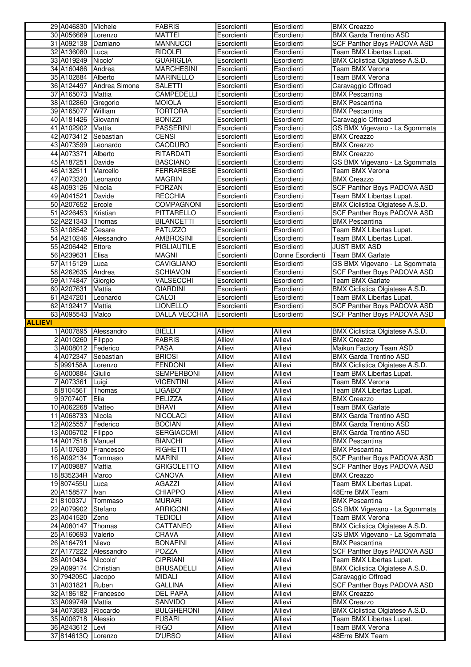|                | 29 A046830 Michele       |                       | <b>FABRIS</b>                         | Esordienti                | Esordienti                | <b>BMX Creazzo</b>                                       |
|----------------|--------------------------|-----------------------|---------------------------------------|---------------------------|---------------------------|----------------------------------------------------------|
|                | 30 A056669               | Lorenzo               | <b>MATTEI</b>                         | Esordienti                | Esordienti                | <b>BMX Garda Trentino ASD</b>                            |
|                | 31 A092138               | Damiano               | <b>MANNUCCI</b>                       | Esordienti                | Esordienti                | SCF Panther Boys PADOVA ASD                              |
|                | 32 A136080               | <b>Luca</b>           | <b>RIDOLFI</b>                        | Esordienti                | Esordienti                | Team BMX Libertas Lupat.                                 |
|                | 33 A019249<br>34 A160486 | Nicolo'               | <b>GUARIGLIA</b><br><b>MARCHESINI</b> | Esordienti                | Esordienti<br>Esordienti  | BMX Ciclistica Olgiatese A.S.D.                          |
|                | 35 A102884               | Andrea<br>Alberto     | <b>MARINELLO</b>                      | Esordienti<br>Esordienti  | Esordienti                | Team BMX Verona<br>Team BMX Verona                       |
|                | 36 A124497               | Andrea Simone         | <b>SALETTI</b>                        | Esordienti                | Esordienti                | Caravaggio Offroad                                       |
|                | 37 A165073               | Mattia                | CAMPEDELLI                            | Esordienti                | Esordienti                | <b>BMX Pescantina</b>                                    |
|                | 38 A102860               | Gregorio              | <b>MOIOLA</b>                         | Esordienti                | Esordienti                | <b>BMX Pescantina</b>                                    |
|                | 39 A165077               | William               | <b>TORTORA</b>                        | Esordienti                | Esordienti                | <b>BMX</b> Pescantina                                    |
|                | 40 A181426               | Giovanni              | <b>BONIZZI</b>                        | Esordienti                | Esordienti                | Caravaggio Offroad                                       |
|                | 41 A102902               | Mattia                | <b>PASSERINI</b>                      | Esordienti                | Esordienti                | GS BMX Vigevano - La Sgommata                            |
|                | 42 A073412               | Sebastian             | <b>CENSI</b>                          | Esordienti                | Esordienti                | <b>BMX Creazzo</b>                                       |
|                | 43 A073599               | Leonardo              | CAODURO                               | Esordienti                | Esordienti                | <b>BMX Creazzo</b>                                       |
|                | 44 A073371               | Alberto               | RITARDATI                             | Esordienti                | Esordienti                | <b>BMX</b> Creazzo                                       |
|                | 45 A187251               | Davide                | <b>BASCIANO</b>                       | Esordienti                | Esordienti                | GS BMX Vigevano - La Sgommata                            |
|                | 46 A132511               | Marcello              | <b>FERRARESE</b>                      | Esordienti                | Esordienti                | Team BMX Verona                                          |
|                | 47 A073320               | Leonardo<br>Nicola    | <b>MAGRIN</b>                         | Esordienti                | Esordienti                | <b>BMX Creazzo</b>                                       |
|                | 48 A093126<br>49 A041521 | Davide                | <b>FORZAN</b><br><b>RECCHIA</b>       | Esordienti<br>Esordienti  | Esordienti<br>Esordienti  | SCF Panther Boys PADOVA ASD<br>Team BMX Libertas Lupat.  |
|                | 50 A207652               | Ercole                | COMPAGNONI                            | Esordienti                | Esordienti                | BMX Ciclistica Olgiatese A.S.D.                          |
|                | 51 A226453               | Kristian              | PITTARELLO                            | Esordienti                | Esordienti                | SCF Panther Boys PADOVA ASD                              |
|                | 52 A221343               | Thomas                | <b>BILANCETTI</b>                     | Esordienti                | Esordienti                | <b>BMX Pescantina</b>                                    |
|                | 53 A108542               | Cesare                | <b>PATUZZO</b>                        | Esordienti                | Esordienti                | Team BMX Libertas Lupat.                                 |
|                | 54 A210246               | Alessandro            | <b>AMBROSINI</b>                      | Esordienti                | Esordienti                | Team BMX Libertas Lupat.                                 |
|                | 55 A206442               | Ettore                | PIGLIAUTILE                           | Esordienti                | Esordienti                | <b>JUST BMX ASD</b>                                      |
|                | 56 A239631               | Elisa                 | <b>MAGNI</b>                          | Esordienti                | Donne Esordienti          | Team BMX Garlate                                         |
|                | 57 A115129               | Luca                  | <b>CAVIGLIANO</b>                     | Esordienti                | Esordienti                | GS BMX Vigevano - La Sgommata                            |
|                | 58 A262635               | Andrea                | <b>SCHIAVON</b>                       | Esordienti                | Esordienti                | SCF Panther Boys PADOVA ASD                              |
|                | 59 A174847               | Giorgio               | VALSECCHI                             | Esordienti                | Esordienti                | Team BMX Garlate                                         |
|                | 60 A207631               | Mattia                | <b>GIARDINI</b>                       | Esordienti                | Esordienti                | BMX Ciclistica Olgiatese A.S.D.                          |
|                | 61 A247201               | Leonardo              | CALOI                                 | Esordienti                | Esordienti                | Team BMX Libertas Lupat.                                 |
|                | 62 A192417               | <b>Mattia</b>         | <b>LIONELLO</b>                       | Esordienti                | Esordienti                | SCF Panther Boys PADOVA ASD                              |
| <b>ALLIEVI</b> | 63 A095543               | Malco                 | DALLA VECCHIA                         | Esordienti                | Esordienti                | SCF Panther Boys PADOVA ASD                              |
|                | 1 A007895                | Alessandro            | <b>BIELLI</b>                         | <b>Allievi</b>            | <b>Allievi</b>            | BMX Ciclistica Olgiatese A.S.D.                          |
|                | 2 A010260                | Filippo               | <b>FABRIS</b>                         | <b>Allievi</b>            | <b>Allievi</b>            | <b>BMX Creazzo</b>                                       |
|                |                          |                       |                                       |                           |                           |                                                          |
|                |                          |                       |                                       |                           |                           |                                                          |
|                | 3 A008012                | Federico<br>Sebastian | <b>PASA</b><br><b>BRIOSI</b>          | <b>Allievi</b><br>Allievi | <b>Allievi</b>            | Maikun Factory Team ASD<br><b>BMX Garda Trentino ASD</b> |
|                | 4 A072347<br>5 999158A   | Lorenzo               | <b>FENDONI</b>                        | Allievi                   | <b>Allievi</b><br>Allievi | BMX Ciclistica Olgiatese A.S.D.                          |
|                | 6 A000884                | Giulio                | <b>SEMPERBONI</b>                     | <b>Allievi</b>            | <b>Allievi</b>            | Team BMX Libertas Lupat.                                 |
|                | 7 A073361                | Luigi                 | <b>VICENTINI</b>                      | Allievi                   | Allievi                   | Team BMX Verona                                          |
|                | 8810456T                 | Thomas                | LIGABO'                               | Allievi                   | <b>Allievi</b>            | Team BMX Libertas Lupat.                                 |
|                | 9970740T                 | Elia                  | PELIZZA                               | Allievi                   | Allievi                   | <b>BMX Creazzo</b>                                       |
|                | 10 A062268               | Matteo                | <b>BRAVI</b>                          | <b>Allievi</b>            | <b>Allievi</b>            | Team BMX Garlate                                         |
|                | 11 A068733               | Nicola                | <b>NICOLACI</b>                       | Allievi                   | Allievi                   | <b>BMX Garda Trentino ASD</b>                            |
|                | 12 A025557               | Federico              | <b>BOCIAN</b>                         | Allievi                   | Allievi                   | <b>BMX Garda Trentino ASD</b>                            |
|                | 13 A006702               | Filippo               | SERGIACOMI                            | <b>Allievi</b>            | Allievi                   | <b>BMX Garda Trentino ASD</b>                            |
|                | 14 A017518               | Manuel                | <b>BIANCHI</b>                        | <b>Allievi</b>            | <b>Allievi</b><br>Allievi | <b>BMX Pescantina</b><br><b>BMX Pescantina</b>           |
|                | 15 A107630<br>16 A092134 | Francesco<br>Tommaso  | <b>RIGHETTI</b><br><b>MARINI</b>      | Allievi<br><b>Allievi</b> | Allievi                   | SCF Panther Boys PADOVA ASD                              |
|                | 17 A009887               | Mattia                | <b>GRIGOLETTO</b>                     | Allievi                   | Allievi                   | SCF Panther Boys PADOVA ASD                              |
|                | 18835234R                | Marco                 | CANOVA                                | <b>Allievi</b>            | <b>Allievi</b>            | <b>BMX Creazzo</b>                                       |
|                | 19807455U                | Luca                  | AGAZZI                                | Allievi                   | Allievi                   | Team BMX Libertas Lupat.                                 |
|                | 20 A158577               | Ivan                  | <b>CHIAPPO</b>                        | <b>Allievi</b>            | <b>Allievi</b>            | 48Erre BMX Team                                          |
|                | 21810037J                | Tommaso               | <b>MURARI</b>                         | <b>Allievi</b>            | Allievi                   | <b>BMX</b> Pescantina                                    |
|                | 22 A079902               | Stefano               | <b>ARRIGONI</b>                       | Allievi                   | <b>Allievi</b>            | GS BMX Vigevano - La Sgommata                            |
|                | 23 A041520               | Zeno                  | <b>TEDIOLI</b>                        | Allievi                   | Allievi                   | Team BMX Verona                                          |
|                | 24 A080147               | Thomas                | CATTANEO                              | Allievi                   | Allievi                   | BMX Ciclistica Olgiatese A.S.D.                          |
|                | 25 A160693               | Valerio               | CRAVA                                 | Allievi                   | Allievi                   | GS BMX Vigevano - La Sgommata                            |
|                | 26 A164791               | Nievo                 | <b>BONAFINI</b>                       | Allievi                   | Allievi                   | <b>BMX Pescantina</b>                                    |
|                | 27 A177222               | Alessandro            | POZZA                                 | Allievi                   | Allievi                   | SCF Panther Boys PADOVA ASD                              |
|                | 28 A010434               | Niccolo'              | <b>CIPRIANI</b>                       | <b>Allievi</b>            | <b>Allievi</b>            | Team BMX Libertas Lupat.                                 |
|                | 29 A099174<br>30 794205C | Christian<br>Jacopo   | <b>BRUSADELLI</b><br><b>MIDALI</b>    | Allievi<br><b>Allievi</b> | Allievi<br><b>Allievi</b> | BMX Ciclistica Olgiatese A.S.D.<br>Caravaggio Offroad    |
|                | 31 A031821               | Ruben                 | <b>GALLINA</b>                        | Allievi                   | Allievi                   | <b>SCF Panther Boys PADOVA ASD</b>                       |
|                | 32 A186182               | Francesco             | DEL PAPA                              | <b>Allievi</b>            | <b>Allievi</b>            | <b>BMX Creazzo</b>                                       |
|                | 33 A099749               | Mattia                | SANVIDO                               | Allievi                   | Allievi                   | <b>BMX Creazzo</b>                                       |
|                | 34 A073583               | Riccardo              | <b>BULGHERONI</b>                     | Allievi                   | Allievi                   | BMX Ciclistica Olgiatese A.S.D.                          |
|                | 35 A006718               | Alessio               | <b>FUSARI</b>                         | Allievi                   | Allievi                   | Team BMX Libertas Lupat.                                 |
|                | 36 A243612<br>37814613Q  | Levi<br>Lorenzo       | <b>RIGO</b><br><b>D'URSO</b>          | Allievi<br>Allievi        | Allievi<br>Allievi        | Team BMX Verona<br>48Erre BMX Team                       |